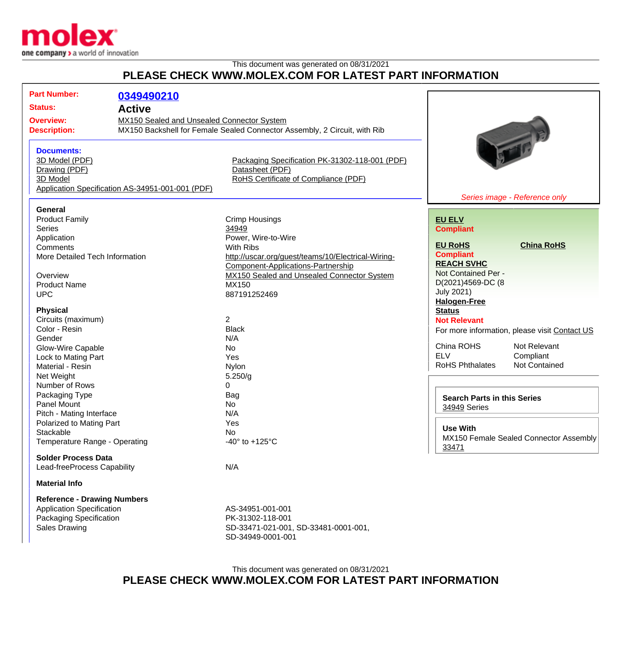

## This document was generated on 08/31/2021 **PLEASE CHECK WWW.MOLEX.COM FOR LATEST PART INFORMATION**

| <b>Part Number:</b>                                                                                  |               |                                                                           |                                               |                               |
|------------------------------------------------------------------------------------------------------|---------------|---------------------------------------------------------------------------|-----------------------------------------------|-------------------------------|
|                                                                                                      | 0349490210    |                                                                           |                                               |                               |
| <b>Status:</b>                                                                                       | <b>Active</b> |                                                                           |                                               |                               |
| MX150 Sealed and Unsealed Connector System<br><b>Overview:</b>                                       |               |                                                                           |                                               |                               |
| <b>Description:</b>                                                                                  |               | MX150 Backshell for Female Sealed Connector Assembly, 2 Circuit, with Rib |                                               |                               |
|                                                                                                      |               |                                                                           |                                               |                               |
| <b>Documents:</b>                                                                                    |               |                                                                           |                                               |                               |
| 3D Model (PDF)                                                                                       |               | Packaging Specification PK-31302-118-001 (PDF)                            |                                               |                               |
| Drawing (PDF)                                                                                        |               | Datasheet (PDF)                                                           |                                               |                               |
| RoHS Certificate of Compliance (PDF)<br>3D Model<br>Application Specification AS-34951-001-001 (PDF) |               |                                                                           |                                               |                               |
|                                                                                                      |               |                                                                           |                                               | Series image - Reference only |
| General                                                                                              |               |                                                                           |                                               |                               |
| <b>Product Family</b>                                                                                |               | <b>Crimp Housings</b>                                                     | <b>EU ELV</b>                                 |                               |
| Series                                                                                               |               | 34949                                                                     | <b>Compliant</b>                              |                               |
| Application                                                                                          |               | Power, Wire-to-Wire                                                       |                                               |                               |
| Comments                                                                                             |               | With Ribs                                                                 | <b>EU RoHS</b>                                | <b>China RoHS</b>             |
| More Detailed Tech Information                                                                       |               | http://uscar.org/guest/teams/10/Electrical-Wiring-                        | <b>Compliant</b>                              |                               |
|                                                                                                      |               | Component-Applications-Partnership                                        | <b>REACH SVHC</b>                             |                               |
| Overview                                                                                             |               | MX150 Sealed and Unsealed Connector System                                | Not Contained Per -                           |                               |
| <b>Product Name</b>                                                                                  |               | MX150                                                                     | D(2021)4569-DC (8                             |                               |
| <b>UPC</b>                                                                                           |               | 887191252469                                                              | <b>July 2021)</b>                             |                               |
|                                                                                                      |               |                                                                           | <b>Halogen-Free</b>                           |                               |
| <b>Physical</b>                                                                                      |               |                                                                           | <b>Status</b>                                 |                               |
| Circuits (maximum)                                                                                   |               | $\overline{2}$                                                            | <b>Not Relevant</b>                           |                               |
| Color - Resin                                                                                        |               | <b>Black</b>                                                              | For more information, please visit Contact US |                               |
| Gender                                                                                               |               | N/A                                                                       |                                               |                               |
| Glow-Wire Capable                                                                                    |               | <b>No</b>                                                                 | China ROHS                                    | Not Relevant                  |
| Lock to Mating Part                                                                                  |               | Yes                                                                       | <b>ELV</b>                                    | Compliant                     |
| Material - Resin                                                                                     |               | Nylon                                                                     | <b>RoHS Phthalates</b>                        | Not Contained                 |
| Net Weight                                                                                           |               | 5.250/g                                                                   |                                               |                               |
| Number of Rows                                                                                       |               | 0                                                                         |                                               |                               |
| Packaging Type                                                                                       |               | Bag                                                                       | <b>Search Parts in this Series</b>            |                               |
| Panel Mount                                                                                          |               | No                                                                        | 34949 Series                                  |                               |
| Pitch - Mating Interface                                                                             |               | N/A                                                                       |                                               |                               |
| Polarized to Mating Part                                                                             |               | Yes                                                                       | <b>Use With</b>                               |                               |
| Stackable<br>Temperature Range - Operating                                                           |               | No                                                                        | MX150 Female Sealed Connector Assembly        |                               |
|                                                                                                      |               | -40 $\degree$ to +125 $\degree$ C                                         | 33471                                         |                               |
| <b>Solder Process Data</b>                                                                           |               |                                                                           |                                               |                               |
| Lead-freeProcess Capability                                                                          |               | N/A                                                                       |                                               |                               |
| <b>Material Info</b>                                                                                 |               |                                                                           |                                               |                               |
| <b>Reference - Drawing Numbers</b>                                                                   |               |                                                                           |                                               |                               |
| <b>Application Specification</b>                                                                     |               | AS-34951-001-001                                                          |                                               |                               |
| Packaging Specification                                                                              |               | PK-31302-118-001                                                          |                                               |                               |
| <b>Sales Drawing</b>                                                                                 |               | SD-33471-021-001, SD-33481-0001-001,                                      |                                               |                               |
|                                                                                                      |               | SD-34949-0001-001                                                         |                                               |                               |

This document was generated on 08/31/2021 **PLEASE CHECK WWW.MOLEX.COM FOR LATEST PART INFORMATION**